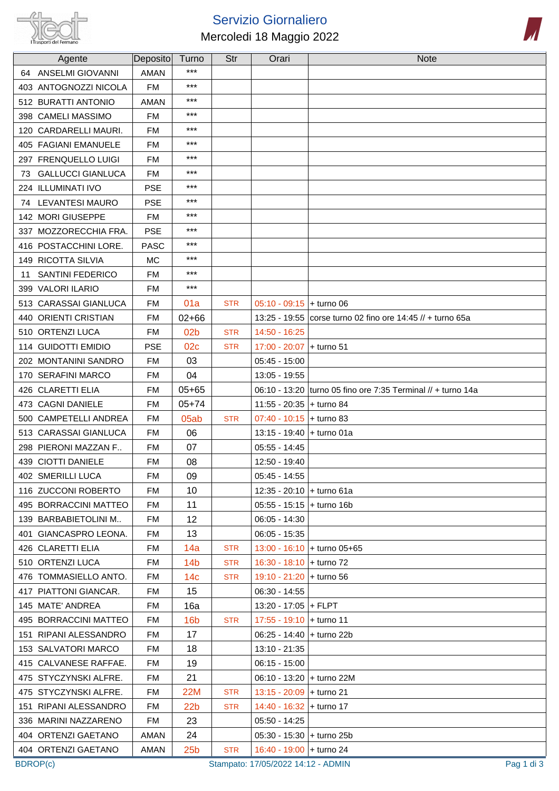

## Servizio Giornaliero Mercoledi 18 Maggio 2022



| Agente                         | Deposito    | Turno           | Str        | Orari                       | <b>Note</b>                                                  |
|--------------------------------|-------------|-----------------|------------|-----------------------------|--------------------------------------------------------------|
| <b>ANSELMI GIOVANNI</b><br>64  | <b>AMAN</b> | ***             |            |                             |                                                              |
| 403 ANTOGNOZZI NICOLA          | <b>FM</b>   | $***$           |            |                             |                                                              |
| 512 BURATTI ANTONIO            | <b>AMAN</b> | $***$           |            |                             |                                                              |
| 398 CAMELI MASSIMO             | <b>FM</b>   | $***$           |            |                             |                                                              |
| 120 CARDARELLI MAURI.          | <b>FM</b>   | $***$           |            |                             |                                                              |
| 405 FAGIANI EMANUELE           | <b>FM</b>   | $***$           |            |                             |                                                              |
| 297 FRENQUELLO LUIGI           | <b>FM</b>   | $***$           |            |                             |                                                              |
| <b>GALLUCCI GIANLUCA</b><br>73 | <b>FM</b>   | $***$           |            |                             |                                                              |
| 224 ILLUMINATI IVO             | <b>PSE</b>  | $***$           |            |                             |                                                              |
| LEVANTESI MAURO<br>74          | <b>PSE</b>  | ***             |            |                             |                                                              |
| 142 MORI GIUSEPPE              | <b>FM</b>   | $***$           |            |                             |                                                              |
| 337 MOZZORECCHIA FRA.          | <b>PSE</b>  | $***$           |            |                             |                                                              |
| 416 POSTACCHINI LORE.          | <b>PASC</b> | $***$           |            |                             |                                                              |
| 149 RICOTTA SILVIA             | <b>MC</b>   | $***$           |            |                             |                                                              |
| <b>SANTINI FEDERICO</b><br>11  | <b>FM</b>   | $***$           |            |                             |                                                              |
| 399 VALORI ILARIO              | <b>FM</b>   | $***$           |            |                             |                                                              |
| 513 CARASSAI GIANLUCA          | <b>FM</b>   | 01a             | <b>STR</b> | $05:10 - 09:15$ + turno 06  |                                                              |
| 440 ORIENTI CRISTIAN           | <b>FM</b>   | $02 + 66$       |            |                             | 13:25 - 19:55 corse turno 02 fino ore 14:45 // + turno 65a   |
| 510 ORTENZI LUCA               | <b>FM</b>   | 02 <sub>b</sub> | <b>STR</b> | 14:50 - 16:25               |                                                              |
| 114 GUIDOTTI EMIDIO            | <b>PSE</b>  | 02c             | <b>STR</b> | 17:00 - 20:07               | $+$ turno 51                                                 |
| 202 MONTANINI SANDRO           | <b>FM</b>   | 03              |            | $05:45 - 15:00$             |                                                              |
| 170 SERAFINI MARCO             | <b>FM</b>   | 04              |            | 13:05 - 19:55               |                                                              |
| 426 CLARETTI ELIA              | <b>FM</b>   | $05 + 65$       |            |                             | 06:10 - 13:20 turno 05 fino ore 7:35 Terminal // + turno 14a |
| 473 CAGNI DANIELE              | <b>FM</b>   | $05 + 74$       |            | 11:55 - 20:35               | $+$ turno 84                                                 |
| 500 CAMPETELLI ANDREA          | <b>FM</b>   | 05ab            | <b>STR</b> | $07:40 - 10:15$ + turno 83  |                                                              |
| 513 CARASSAI GIANLUCA          | <b>FM</b>   | 06              |            | 13:15 - 19:40               | + turno 01a                                                  |
| 298 PIERONI MAZZAN F           | <b>FM</b>   | 07              |            | $05:55 - 14:45$             |                                                              |
| 439 CIOTTI DANIELE             | <b>FM</b>   | 08              |            | 12:50 - 19:40               |                                                              |
| 402 SMERILLI LUCA              | <b>FM</b>   | 09              |            | $05:45 - 14:55$             |                                                              |
| 116 ZUCCONI ROBERTO            | FM.         | 10              |            | 12:35 - 20:10 + turno 61a   |                                                              |
| 495 BORRACCINI MATTEO          | FM          | 11              |            | $05:55 - 15:15$ + turno 16b |                                                              |
| 139 BARBABIETOLINI M           | FM.         | 12              |            | $06:05 - 14:30$             |                                                              |
| 401 GIANCASPRO LEONA.          | FM          | 13              |            | $06:05 - 15:35$             |                                                              |
| 426 CLARETTI ELIA              | FM          | 14a             | <b>STR</b> |                             | 13:00 - 16:10 + turno 05+65                                  |
| 510 ORTENZI LUCA               | FM          | 14 <sub>b</sub> | <b>STR</b> | 16:30 - 18:10 + turno 72    |                                                              |
| 476 TOMMASIELLO ANTO.          | FM          | 14 <sub>c</sub> | <b>STR</b> | 19:10 - 21:20 + turno 56    |                                                              |
| 417 PIATTONI GIANCAR.          | FM          | 15              |            | $06:30 - 14:55$             |                                                              |
| 145 MATE' ANDREA               | FM          | 16a             |            | 13:20 - 17:05 + FLPT        |                                                              |
| 495 BORRACCINI MATTEO          | FM          | 16 <sub>b</sub> | <b>STR</b> | 17:55 - 19:10 + turno 11    |                                                              |
| 151 RIPANI ALESSANDRO          | FM          | 17              |            | 06:25 - 14:40 + turno 22b   |                                                              |
| 153 SALVATORI MARCO            | FM.         | 18              |            | 13:10 - 21:35               |                                                              |
| 415 CALVANESE RAFFAE.          | FM.         | 19              |            | $06:15 - 15:00$             |                                                              |
| 475 STYCZYNSKI ALFRE.          | FM          | 21              |            | 06:10 - 13:20 + turno 22M   |                                                              |
| 475 STYCZYNSKI ALFRE.          | FM          | <b>22M</b>      | <b>STR</b> | $13:15 - 20:09$ + turno 21  |                                                              |
| 151 RIPANI ALESSANDRO          | FM.         | 22 <sub>b</sub> | <b>STR</b> | 14:40 - 16:32 + turno 17    |                                                              |
| 336 MARINI NAZZARENO           | FM          | 23              |            | 05:50 - 14:25               |                                                              |
| 404 ORTENZI GAETANO            | AMAN        | 24              |            | 05:30 - 15:30 + turno 25b   |                                                              |
| 404 ORTENZI GAETANO            | AMAN        | 25 <sub>b</sub> | <b>STR</b> | 16:40 - 19:00 + turno 24    |                                                              |

BDROP(c) Stampato: 17/05/2022 14:12 - ADMIN Pag 1 di 3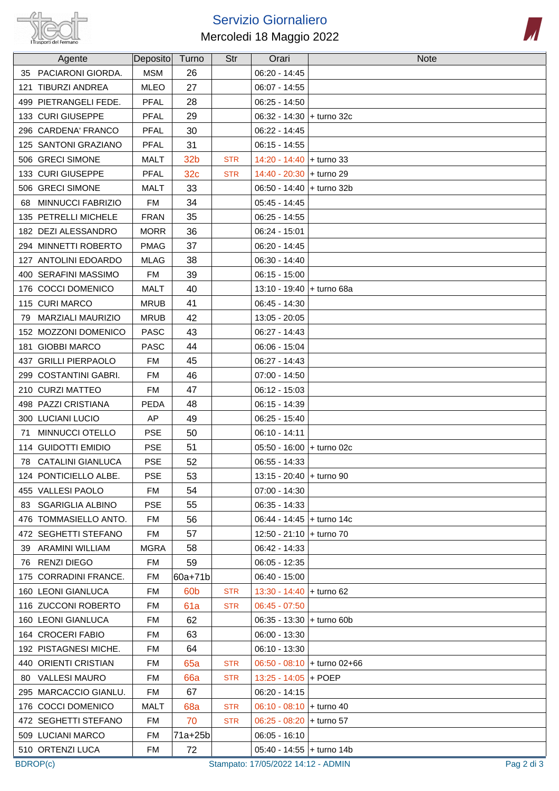

## Servizio Giornaliero Mercoledi 18 Maggio 2022



| Agente                         | Deposito    | Turno           | Str        | Orari                      | <b>Note</b>                 |
|--------------------------------|-------------|-----------------|------------|----------------------------|-----------------------------|
| 35 PACIARONI GIORDA.           | <b>MSM</b>  | 26              |            | $06:20 - 14:45$            |                             |
| 121 TIBURZI ANDREA             | <b>MLEO</b> | 27              |            | $06:07 - 14:55$            |                             |
| 499 PIETRANGELI FEDE.          | <b>PFAL</b> | 28              |            | $06:25 - 14:50$            |                             |
| 133 CURI GIUSEPPE              | <b>PFAL</b> | 29              |            | 06:32 - 14:30 + turno 32c  |                             |
| 296 CARDENA' FRANCO            | <b>PFAL</b> | 30              |            | $06:22 - 14:45$            |                             |
| 125 SANTONI GRAZIANO           | <b>PFAL</b> | 31              |            | $06:15 - 14:55$            |                             |
| 506 GRECI SIMONE               | <b>MALT</b> | 32 <sub>b</sub> | <b>STR</b> | 14:20 - 14:40 + turno 33   |                             |
| 133 CURI GIUSEPPE              | <b>PFAL</b> | 32 <sub>c</sub> | <b>STR</b> | 14:40 - 20:30 + turno 29   |                             |
| 506 GRECI SIMONE               | MALT        | 33              |            | 06:50 - 14:40 + turno 32b  |                             |
| <b>MINNUCCI FABRIZIO</b><br>68 | <b>FM</b>   | 34              |            | $05:45 - 14:45$            |                             |
| 135 PETRELLI MICHELE           | <b>FRAN</b> | 35              |            | $06:25 - 14:55$            |                             |
| 182 DEZI ALESSANDRO            | <b>MORR</b> | 36              |            | $06:24 - 15:01$            |                             |
| 294 MINNETTI ROBERTO           | <b>PMAG</b> | 37              |            | $06:20 - 14:45$            |                             |
| 127 ANTOLINI EDOARDO           | <b>MLAG</b> | 38              |            | $06:30 - 14:40$            |                             |
| 400 SERAFINI MASSIMO           | <b>FM</b>   | 39              |            | $06:15 - 15:00$            |                             |
| 176 COCCI DOMENICO             | <b>MALT</b> | 40              |            | 13:10 - 19:40 + turno 68a  |                             |
| 115 CURI MARCO                 | <b>MRUB</b> | 41              |            | $06:45 - 14:30$            |                             |
| <b>MARZIALI MAURIZIO</b><br>79 | <b>MRUB</b> | 42              |            | $13:05 - 20:05$            |                             |
| 152 MOZZONI DOMENICO           | <b>PASC</b> | 43              |            | $06:27 - 14:43$            |                             |
| 181 GIOBBI MARCO               | <b>PASC</b> | 44              |            | $06:06 - 15:04$            |                             |
| 437 GRILLI PIERPAOLO           | <b>FM</b>   | 45              |            | $06:27 - 14:43$            |                             |
| 299 COSTANTINI GABRI.          | <b>FM</b>   | 46              |            | $07:00 - 14:50$            |                             |
| 210 CURZI MATTEO               | <b>FM</b>   | 47              |            | $06:12 - 15:03$            |                             |
| 498 PAZZI CRISTIANA            | <b>PEDA</b> | 48              |            | 06:15 - 14:39              |                             |
| 300 LUCIANI LUCIO              | AP          | 49              |            | $06:25 - 15:40$            |                             |
| MINNUCCI OTELLO<br>71          | <b>PSE</b>  | 50              |            | $06:10 - 14:11$            |                             |
| 114 GUIDOTTI EMIDIO            | <b>PSE</b>  | 51              |            | 05:50 - 16:00 + turno 02c  |                             |
| 78 CATALINI GIANLUCA           | <b>PSE</b>  | 52              |            | $06:55 - 14:33$            |                             |
| 124 PONTICIELLO ALBE.          | <b>PSE</b>  | 53              |            | 13:15 - 20:40 + turno 90   |                             |
| 455 VALLESI PAOLO              | FM          | 54              |            | $07:00 - 14:30$            |                             |
| 83 SGARIGLIA ALBINO            | <b>PSE</b>  | 55              |            | $06:35 - 14:33$            |                             |
| 476 TOMMASIELLO ANTO.          | FM          | 56              |            | 06:44 - 14:45 + turno 14c  |                             |
| 472 SEGHETTI STEFANO           | FM          | 57              |            | 12:50 - 21:10 + turno 70   |                             |
| 39 ARAMINI WILLIAM             | MGRA        | 58              |            | 06:42 - 14:33              |                             |
| 76 RENZI DIEGO                 | FM.         | 59              |            | $06:05 - 12:35$            |                             |
| 175 CORRADINI FRANCE.          | <b>FM</b>   | 60a+71b         |            | $06:40 - 15:00$            |                             |
| 160 LEONI GIANLUCA             | FM          | 60 <sub>b</sub> | <b>STR</b> | $13:30 - 14:40$ + turno 62 |                             |
| 116 ZUCCONI ROBERTO            | FM          | 61a             | <b>STR</b> | $06:45 - 07:50$            |                             |
| 160 LEONI GIANLUCA             | FM          | 62              |            | 06:35 - 13:30 + turno 60b  |                             |
| 164 CROCERI FABIO              | FM          | 63              |            | $06:00 - 13:30$            |                             |
| 192 PISTAGNESI MICHE.          | FM          | 64              |            | $06:10 - 13:30$            |                             |
| 440 ORIENTI CRISTIAN           | FM          | <b>65a</b>      | <b>STR</b> |                            | 06:50 - 08:10 + turno 02+66 |
| 80 VALLESI MAURO               | FM          | <b>66a</b>      | <b>STR</b> | 13:25 - 14:05 + POEP       |                             |
| 295 MARCACCIO GIANLU.          | FM          | 67              |            | $06:20 - 14:15$            |                             |
| 176 COCCI DOMENICO             | MALT        | 68a             | <b>STR</b> | 06:10 - 08:10 + turno 40   |                             |
| 472 SEGHETTI STEFANO           | FM          | 70              | <b>STR</b> | $06:25 - 08:20$ + turno 57 |                             |
| 509 LUCIANI MARCO              | FM          | 71a+25b         |            | $06:05 - 16:10$            |                             |
| 510 ORTENZI LUCA               | <b>FM</b>   | 72              |            | 05:40 - 14:55 + turno 14b  |                             |

BDROP(c) Stampato: 17/05/2022 14:12 - ADMIN Pag 2 di 3